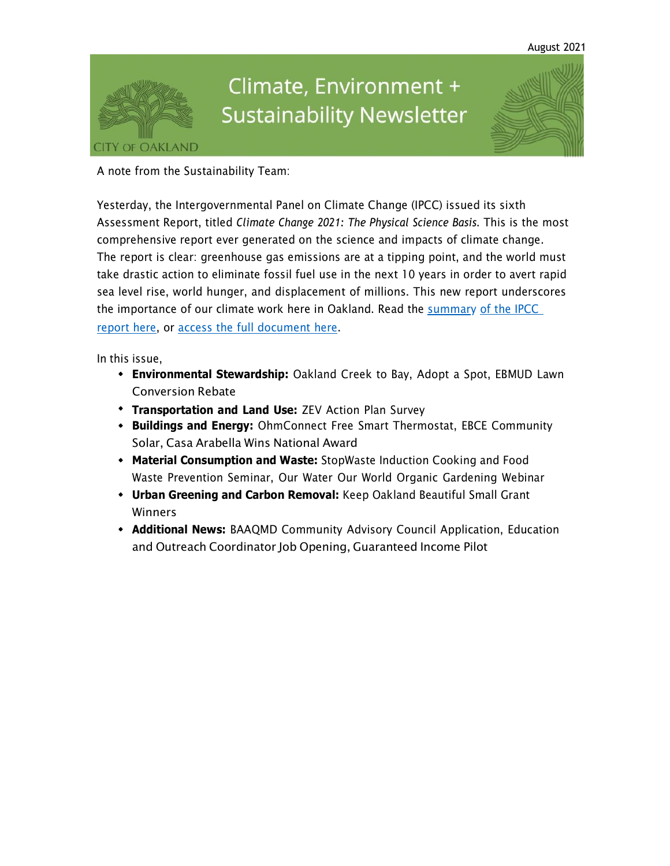

# Climate, Environment + **Sustainability Newsletter**

A note from the Sustainability Team:

Yesterday, the Intergovernmental Panel on Climate Change (IPCC) issued its sixth Assessment Report, titled *Climate Change 2021: The Physical Science Basis*. This is the most comprehensive report ever generated on the science and impacts of climate change. The report is clear: greenhouse gas emissions are at a tipping point, and the world must take drastic action to eliminate fossil fuel use in the next 10 years in order to avert rapid sea level rise, world hunger, and displacement of millions. This new report underscores [the importance](https://oaklandca19202.lt.acemlna.com/Prod/link-tracker?notrack=1&redirectUrl=aHR0cHMlM0ElMkYlMkZ3d3cuaXBjYy5jaCUyRnJlcG9ydCUyRmFyNiUyRndnMSUyRiUyM1NQTQ%3D%3D&sig=HYQVgNwfXvaU7oyusPsHqCoLJ9R44CZeKp1AgLif6qz9&iat=1632344216&a=799335011&account=oaklandca19202%2Eactivehosted%2Ecom&email=LRRV6glqIfcVPcYsJBrMHi%2FZD%2BmsUFpJrc5fHf6IoVE%3D&s=bad97c655476f96a390a72c05a742011&i=941A931A11A15418) of our climate work here in Oakland. Read the summary of the IPCC [report](https://oaklandca19202.lt.acemlna.com/Prod/link-tracker?notrack=1&redirectUrl=aHR0cHMlM0ElMkYlMkZ3d3cuaXBjYy5jaCUyRnJlcG9ydCUyRmFyNiUyRndnMSUyRiUyM1NQTQ%3D%3D&sig=HYQVgNwfXvaU7oyusPsHqCoLJ9R44CZeKp1AgLif6qz9&iat=1632344216&a=799335011&account=oaklandca19202%2Eactivehosted%2Ecom&email=LRRV6glqIfcVPcYsJBrMHi%2FZD%2BmsUFpJrc5fHf6IoVE%3D&s=bad97c655476f96a390a72c05a742011&i=941A931A11A15418) here, or access the full [document](https://oaklandca19202.lt.acemlna.com/Prod/link-tracker?notrack=1&redirectUrl=aHR0cHMlM0ElMkYlMkZ3d3cuaXBjYy5jaCUyRnJlcG9ydCUyRmFyNiUyRndnMSUyRg%3D%3D&sig=HnmMhPDHy38ctGZmgLVqorwrTwpxXQFMUHjUiqa5rq46&iat=1632344216&a=799335011&account=oaklandca19202%2Eactivehosted%2Ecom&email=LRRV6glqIfcVPcYsJBrMHi%2FZD%2BmsUFpJrc5fHf6IoVE%3D&s=bad97c655476f96a390a72c05a742011&i=941A931A11A15419) her[e.](https://oaklandca19202.lt.acemlna.com/Prod/link-tracker?notrack=1&redirectUrl=aHR0cHMlM0ElMkYlMkZ3d3cuaXBjYy5jaCUyRnJlcG9ydCUyRmFyNiUyRndnMSUyRiUyM1NQTQ%3D%3D&sig=HYQVgNwfXvaU7oyusPsHqCoLJ9R44CZeKp1AgLif6qz9&iat=1632344216&a=799335011&account=oaklandca19202%2Eactivehosted%2Ecom&email=LRRV6glqIfcVPcYsJBrMHi%2FZD%2BmsUFpJrc5fHf6IoVE%3D&s=bad97c655476f96a390a72c05a742011&i=941A931A11A15418)

In this issue,

- **Environmental Stewardship:** Oakland Creek to Bay, Adopt a Spot, EBMUD Lawn Conversion Rebate
- **Transportation and Land Use:** ZEV Action Plan Survey
- **Buildings and Energy:** OhmConnect Free Smart Thermostat, EBCE Community Solar, Casa Arabella Wins National Award
- **Material Consumption and Waste:** StopWaste Induction Cooking and Food Waste Prevention Seminar, Our Water Our World Organic Gardening Webinar
- **Urban Greening and Carbon Removal:** Keep Oakland Beautiful Small Grant Winners
- **Additional News:** BAAQMD Community Advisory Council Application, Education and Outreach Coordinator Job Opening, Guaranteed Income Pilot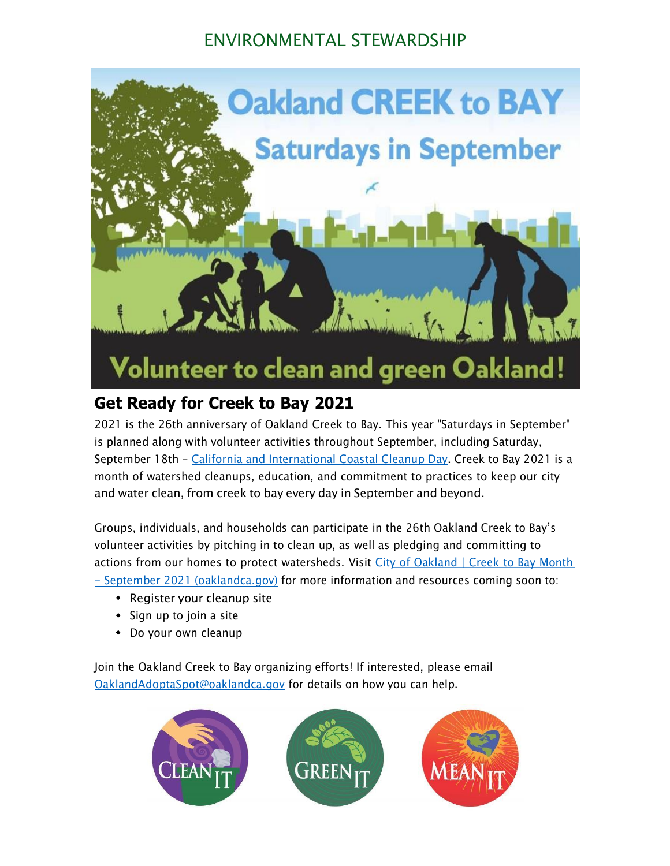### ENVIRONMENTAL STEWARDSHIP



### **Get Ready for Creek to Bay 2021**

2021 is the 26th anniversary of Oakland Creek to Bay. This year "Saturdays in September" is planned along with volunteer activities throughout September, including Saturday, September 18th - California and [International](https://oaklandca19202.lt.acemlna.com/Prod/link-tracker?notrack=1&redirectUrl=aHR0cHMlM0ElMkYlMkZ3d3cuY29hc3RhbC5jYS5nb3YlMkZwdWJsaWNlZCUyRmNjZCUyRmNjZC5odG1s&sig=NSs7cDdcDpPSbJKBcAeinyLZjmBhk8Dp5VFzWoFM2Me&iat=1632344216&a=799335011&account=oaklandca19202%2Eactivehosted%2Ecom&email=LRRV6glqIfcVPcYsJBrMHi%2FZD%2BmsUFpJrc5fHf6IoVE%3D&s=bad97c655476f96a390a72c05a742011&i=941A931A11A15164) Coastal Cleanup Day. Creek to Bay 2021 is a month of watershed cleanups, education, and commitment to practices to keep our city and water clean, from creek to bay every day in September and beyond.

Groups, individuals, and households can participate in the 26th Oakland Creek to Bay's volunteer activities by pitching in to clean up, as well as pledging and committing to actions from our homes to protect [watersheds.](https://oaklandca19202.lt.acemlna.com/Prod/link-tracker?notrack=1&redirectUrl=aHR0cHMlM0ElMkYlMkZ3d3cub2FrbGFuZGNhLmdvdiUyRnRvcGljcyUyRmNyZWVrLXRvLWJheQ%3D%3D&sig=9iNsWiAUEPowaf2CYZberbsJbQSpw7y5QiGmEk2LSbUZ&iat=1632344216&a=799335011&account=oaklandca19202%2Eactivehosted%2Ecom&email=LRRV6glqIfcVPcYsJBrMHi%2FZD%2BmsUFpJrc5fHf6IoVE%3D&s=bad97c655476f96a390a72c05a742011&i=941A931A11A15165) Visit City of Oakland | Creek to Bay Month - September 2021 [\(oaklandca.gov\)](https://oaklandca19202.lt.acemlna.com/Prod/link-tracker?notrack=1&redirectUrl=aHR0cHMlM0ElMkYlMkZ3d3cub2FrbGFuZGNhLmdvdiUyRnRvcGljcyUyRmNyZWVrLXRvLWJheQ%3D%3D&sig=9iNsWiAUEPowaf2CYZberbsJbQSpw7y5QiGmEk2LSbUZ&iat=1632344216&a=799335011&account=oaklandca19202%2Eactivehosted%2Ecom&email=LRRV6glqIfcVPcYsJBrMHi%2FZD%2BmsUFpJrc5fHf6IoVE%3D&s=bad97c655476f96a390a72c05a742011&i=941A931A11A15165) for more information and resources coming soon to:

- Register your cleanup site
- $\bullet$  Sign up to join a site
- Do your own cleanup

Join the Oakland Creek to Bay organizing efforts! If interested, please email [OaklandAdoptaSpot@oaklandca.gov](mailto:OaklandAdoptaSpot@oaklandca.gov) for details on how you can help.

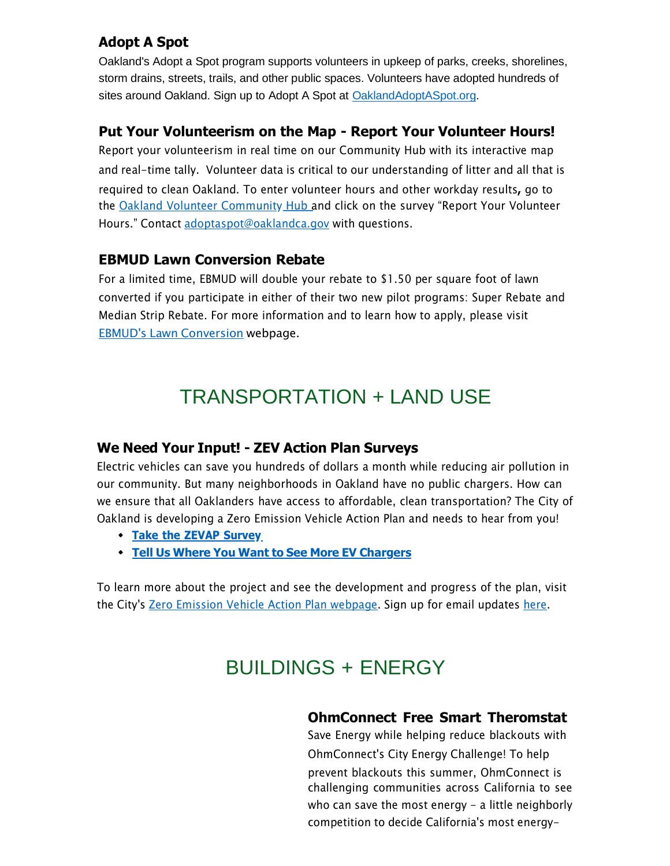### **Adopt A Spot**

Oakland's Adopt a Spot program supports volunteers in upkeep of parks, creeks, shorelines, storm drains, streets, trails, and other public spaces. Volunteers have adopted hundreds of sites around Oakland. Sign up to Adopt A Spot at [OaklandAdoptASpot.org.](https://oaklandca19202.lt.acemlna.com/Prod/link-tracker?notrack=1&redirectUrl=aHR0cHMlM0ElMkYlMkZ3d3cub2FrbGFuZGNhLmdvdiUyRnNlcnZpY2VzJTJGYXBwbHktZm9yLWFkb3B0LWEtc3BvdC1vbmxpbmU%3D&sig=CmqTrXML3YVSeHtFb8fUAtZTWeDUb1ChYPizc3UnQKcK&iat=1632344216&a=799335011&account=oaklandca19202%2Eactivehosted%2Ecom&email=LRRV6glqIfcVPcYsJBrMHi%2FZD%2BmsUFpJrc5fHf6IoVE%3D&s=bad97c655476f96a390a72c05a742011&i=941A931A11A15166)

#### **Put Your Volunteerism on the Map - Report Your Volunteer Hours!**

Report your volunteerism in real time on our Community Hub with its interactive map and real-time tally. Volunteer data is critical to our understanding of litter and all that is required to clean Oakland. To enter volunteer hours and other workday results**,** go to the Oakland Volunteer [Community](https://oaklandca19202.lt.acemlna.com/Prod/link-tracker?notrack=1&redirectUrl=aHR0cHMlM0ElMkYlMkZ1cmxkZWZlbnNlLnByb29mcG9pbnQuY29tJTJGdjIlMkZ1cmwlM0Z1JTNEaHR0cHMtM0FfX29ha2xhbmRjYTE5MjAyLmx0LmFjZW1sbmEuY29tX1Byb2RfbGluay0yRHRyYWNrZXItM0ZyZWRpcmVjdFVybC0zRGFIUjBjSE1sTTBFbE1rWWxNa1oxY214a1pXWmxibk5sTG5CeWIyOW1jRzlwYm5RdVkyOXRKVEpHZGpJbE1rWjFjbXdsTTBaMUpUTkVhSFIwY0hNdE0wRmZYMjloYTJ4aGJtUXRNa1IyYjJ4MWJuUmxaWEl0TWtSamIyMXRkVzVwZEhrdE1rUnZZV3RuYVhNdWFIVmlMbUZ5WTJkcGN5NWpiMjFmY0dGblpYTmZjbVZ3YjNKMExUSkVlVzkxY2kweVJIWnZiSFZ1ZEdWbGNpMHlSSEpsYzNWc2RITWxNalprSlRORVJIZE5SbUZSSlRJMll5VXpSRFphWW05TFpFcDZVamh1V2s5eGQwSnFhRkJ1UTNjbE1qWnlKVE5FUm1KQmFtMUJZMk00ZDNsblJVWnFhMEZPUlRBeFRHODFXa2xJYWswd1MyZzRSR2RKTWtKeFRpMDRkeVV5Tm0wbE0wUlplVEUwWDFwUmExVk9kbWhGZVhKb1RFOXFjRnBaVFhwNVZsSlJWQzFmTlVGM1duSjJSVzFwTjNaakpUSTJjeVV6UkhGVmEweDBVVzFLVUhKbFN6QlNaV3hHUkc5U1MxTXRaMjVoTmtSUVJ6SmFSblV6VjNGQ1VVaHNVREFsTWpabEpUTkUtMjZhLTNENzk5MzM1MDExLTI2YWNjb3VudC0zRG9ha2xhbmRjYTE5MjAyLTI1MkVhY3RpdmVob3N0ZWQtMjUyRWNvbS0yNmVtYWlsLTNEd2pFODhodW1qOGJlYnBqRHZ2T0NRUVlnZmZFaFRZYUoxNmRmamgyUnFkMThCYUtnNVRCelpzcXV1WHhpM2JuNS0yNnMtM0RjMTBlMDMxZDliN2U5YmJhOTlhNDc4YmY0ZGRhZTM3Zi0yNmktM0Q4NDFBODM0QTExQTEzMTQwJTI2ZCUzRER3TUZhUSUyNmMlM0Q2WmJvS2RKelI4blpPcXdCamhQbkN3JTI2ciUzRHdBVDRkb09Jd29RaFVpTWZjR3ZwZ1dDYnRvcGJKNjIzb2lKUFFKdm05em9yTkRxcjRIQkh1YTdMaTVXcXN1M2klMjZtJTNETkxxX01OUS16d05Yd3NJMkZJcTdfQ0huSWozY19JV3JnUkNnRG5QY0F3YyUyNnMlM0R4NDlhMEtzZGs3WUlHamoyY0RILVE1STJzV0pCbDY3SnA3RmdIMHRsMTFnJTI2ZSUzRA%3D%3D&sig=AsTucvwmir3MDafmCJs8R3f4m7NLnyaMDUgiAkdTv7rg&iat=1632344216&a=799335011&account=oaklandca19202%2Eactivehosted%2Ecom&email=LRRV6glqIfcVPcYsJBrMHi%2FZD%2BmsUFpJrc5fHf6IoVE%3D&s=bad97c655476f96a390a72c05a742011&i=941A931A11A15167) Hub and click on the survey "Report Your Volunteer Hours." Contact [adoptaspot@oaklandca.gov](mailto:adoptaspot@oaklandca.gov) with questions.

#### **EBMUD Lawn Conversion Rebate**

For a limited time, EBMUD will double your rebate to \$1.50 per square foot of lawn converted if you participate in either of their two new pilot programs: Super Rebate and Median Strip Rebate. For more information and to learn how to apply, please visit EBMUD's Lawn [Conversion](https://oaklandca19202.lt.acemlna.com/Prod/link-tracker?notrack=1&redirectUrl=aHR0cHMlM0ElMkYlMkZ3d3cuZWJtdWQuY29tJTJGd2F0ZXIlMkZjb25zZXJ2YXRpb24tYW5kLXJlYmF0ZXMlMkZyZWJhdGVzJTJGbGF3bi1jb252ZXJzaW9uLXJlYmF0ZSUyRg%3D%3D&sig=4htWJEk2smaCsqngHYYzxN7vt3YXfzoRg3EdMZorG5YH&iat=1632344216&a=799335011&account=oaklandca19202%2Eactivehosted%2Ecom&email=LRRV6glqIfcVPcYsJBrMHi%2FZD%2BmsUFpJrc5fHf6IoVE%3D&s=bad97c655476f96a390a72c05a742011&i=941A931A11A15403) webpage.

## TRANSPORTATION + LAND USE

#### **We Need Your Input! - ZEV Action Plan Surveys**

Electric vehicles can save you hundreds of dollars a month while reducing air pollution in our community. But many neighborhoods in Oakland have no public chargers. How can we ensure that all Oaklanders have access to affordable, clean transportation? The City of Oakland is developing a Zero Emission Vehicle Action Plan and needs to hear from you!

- **Take the ZEVAP [Survey](https://oaklandca19202.lt.acemlna.com/Prod/link-tracker?notrack=1&redirectUrl=aHR0cHMlM0ElMkYlMkZvYWtsYW5kY2EuZm9ybXN0YWNrLmNvbSUyRmZvcm1zJTJGemVyb19lbWlzc2lvbl92ZWhpY2xlX2FjdGlvbl9wbGFuX3N1cnZleV9kcmFmdA%3D%3D&sig=2sEMRUoGgxNusJj32vmwVFNDLBz4GRRYwfAhyacUqVRP&iat=1632344216&a=799335011&account=oaklandca19202%2Eactivehosted%2Ecom&email=LRRV6glqIfcVPcYsJBrMHi%2FZD%2BmsUFpJrc5fHf6IoVE%3D&s=bad97c655476f96a390a72c05a742011&i=941A931A11A15175)**
- **Tell Us Where You Want to See More EV [Chargers](https://oaklandca19202.lt.acemlna.com/Prod/link-tracker?notrack=1&redirectUrl=aHR0cHMlM0ElMkYlMkZ3d3cub2FrbGFuZGNhLmdvdiUyRnNlcnZpY2VzJTJGemVyby1lbWlzc2lvbi12ZWhpY2xlLWFjdGlvbi1wbGFuLWludGVyYWN0aXZlLW1hcA%3D%3D&sig=2a6SD5FV7iA2qgeGp6es2xK3VCYpk2GiQUmk3omfEPeU&iat=1632344216&a=799335011&account=oaklandca19202%2Eactivehosted%2Ecom&email=LRRV6glqIfcVPcYsJBrMHi%2FZD%2BmsUFpJrc5fHf6IoVE%3D&s=bad97c655476f96a390a72c05a742011&i=941A931A11A15176)**

To learn more about the project and see the development and progress of the plan, visit the City's Zero Emission Vehicle Action Plan [webpage.](https://oaklandca19202.lt.acemlna.com/Prod/link-tracker?notrack=1&redirectUrl=aHR0cHMlM0ElMkYlMkZ3d3cub2FrbGFuZGNhLmdvdiUyRnByb2plY3RzJTJGemVyby1lbWlzc2lvbi12ZWhpY2xlLWFjdGlvbi1wbGFu&sig=NvEeKPwi3qVQwB9QFkfrXsdcs6xjBgRBAhcGxnooyca&iat=1632344216&a=799335011&account=oaklandca19202%2Eactivehosted%2Ecom&email=LRRV6glqIfcVPcYsJBrMHi%2FZD%2BmsUFpJrc5fHf6IoVE%3D&s=bad97c655476f96a390a72c05a742011&i=941A931A11A15170) Sign up for email updates [here.](https://oaklandca19202.lt.acemlna.com/Prod/link-tracker?notrack=1&redirectUrl=aHR0cHMlM0ElMkYlMkZ1cmxkZWZlbnNlLnByb29mcG9pbnQuY29tJTJGdjIlMkZ1cmwlM0Z1JTNEaHR0cHMtM0FfX29ha2xhbmRjYS5mb3Jtc3RhY2suY29tX2Zvcm1zX3pldi01RmFjdGlvbi01RnBsYW4tNUZlbWFpbC01Rmxpc3QlMjZkJTNERHdNRmFRJTI2YyUzRDZaYm9LZEp6UjhuWk9xd0JqaFBuQ3clMjZyJTNEZHlDenVMRHhBczRKSTFWcVVYZk9xOTN4Ujl1bkU2amQ5UHB3aUoxYU9wOCUyNm0lM0Rpa1FEMHRKUjRtYXlWcTNwM0RIZ1FsYmpWQ2NHOUh2d0pfTlhha0ctQWhrJTI2cyUzRFhxa201ZnRpTUliZy1aVGl2U2p1azlxaVpmVTFEOXR3ZDlUX2d4TEl4cTglMjZlJTNE&sig=FaScJq7V2roRT8ohpm85BnviJVMZnuUnR5DHFFi4c51R&iat=1632344216&a=799335011&account=oaklandca19202%2Eactivehosted%2Ecom&email=LRRV6glqIfcVPcYsJBrMHi%2FZD%2BmsUFpJrc5fHf6IoVE%3D&s=bad97c655476f96a390a72c05a742011&i=941A931A11A15177)

# BUILDINGS + ENERGY

### **OhmConnect Free Smart Theromstat**

Save Energy while helping reduce blackouts with OhmConnect's City Energy Challenge! To help prevent blackouts this summer, OhmConnect is challenging communities across California to see who can save the most energy - a little neighborly competition to decide California's most energy-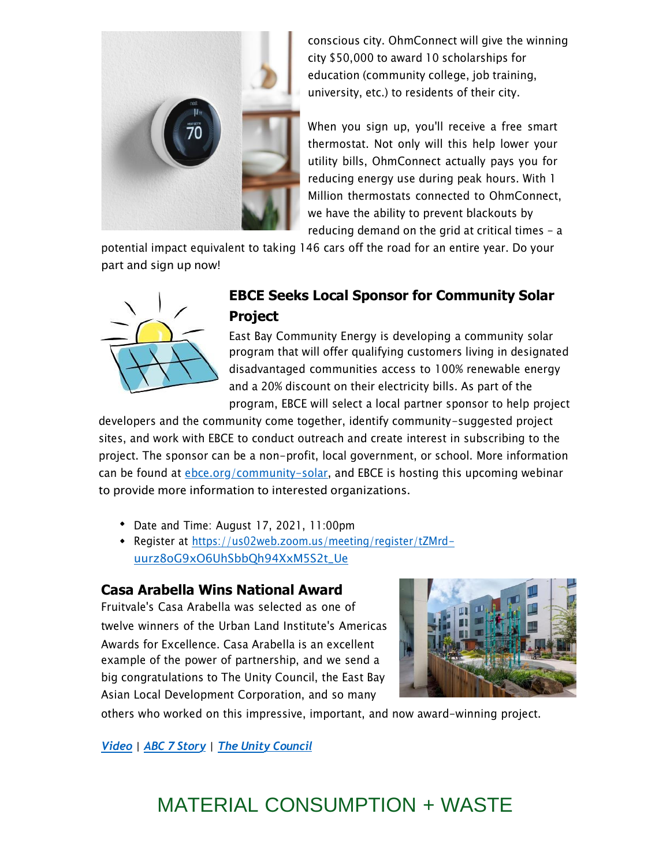

conscious city. OhmConnect will give the winning city \$50,000 to award 10 scholarships for education (community college, job training, university, etc.) to residents of their city.

When you sign up, you'll receive a free smart thermostat. Not only will this help lower your utility bills, OhmConnect actually pays you for reducing energy use during peak hours. With 1 Million thermostats connected to OhmConnect, we have the ability to prevent blackouts by reducing demand on the grid at critical times  $-$  a

potential impact equivalent to taking 146 cars off the road for an entire year. Do your part and sign up now!



### **EBCE Seeks Local Sponsor for Community Solar Project**

East Bay Community Energy is developing a community solar program that will offer qualifying customers living in designated disadvantaged communities access to 100% renewable energy and a 20% discount on their electricity bills. As part of the program, EBCE will select a local partner sponsor to help project

developers and the community come together, identify community-suggested project sites, and work with EBCE to conduct outreach and create interest in subscribing to the project. The sponsor can be a non-profit, local government, or school. More information can be found at *ebce.org/community-solar*, and EBCE is hosting this upcoming webinar to provide more information to interested organizations.

- Date and Time: August 17, 2021, 11:00pm
- Register at [https://us02web.zoom.us/meeting/register/tZMrd](https://oaklandca19202.lt.acemlna.com/Prod/link-tracker?notrack=1&redirectUrl=aHR0cHMlM0ElMkYlMkZ1cmxkZWZlbnNlLnByb29mcG9pbnQuY29tJTJGdjIlMkZ1cmwlM0Z1JTNEaHR0cHMtM0FfX3VzMDJ3ZWIuem9vbS51c19tZWV0aW5nX3JlZ2lzdGVyX3RaTXJkLTJEdXVyejhvRzl4TzZVaFNiYlFoOTRYeE01UzJ0LTVGVWUlMjZkJTNERHdNRmFRJTI2YyUzRDZaYm9LZEp6UjhuWk9xd0JqaFBuQ3clMjZyJTNEOVpiS3hnMHZoUWFZbGRxN3JQYS1oNmkzZlBfemhhYk5xWDJJVzNUX2NwQSUyNm0lM0RManJobXh4MVc4LUROclJWT3hPak1XVHZCcWdZSXA4ZWRvblN2ZVNTbmdRJTI2cyUzRG5xeENJRVoxbk1keFZFUWpablZ0d2dtUXJ3TGlFamlJdktIS0xMVmFSaHclMjZlJTNE&sig=ALiHcvmYYsNyRmxCfJX5UF8oJoCNKed6Z9hDFExiUCLW&iat=1632344216&a=799335011&account=oaklandca19202%2Eactivehosted%2Ecom&email=LRRV6glqIfcVPcYsJBrMHi%2FZD%2BmsUFpJrc5fHf6IoVE%3D&s=bad97c655476f96a390a72c05a742011&i=941A931A11A15405)[uurz8oG9xO6UhSbbQh94XxM5S2t\\_Ue](https://oaklandca19202.lt.acemlna.com/Prod/link-tracker?notrack=1&redirectUrl=aHR0cHMlM0ElMkYlMkZ1cmxkZWZlbnNlLnByb29mcG9pbnQuY29tJTJGdjIlMkZ1cmwlM0Z1JTNEaHR0cHMtM0FfX3VzMDJ3ZWIuem9vbS51c19tZWV0aW5nX3JlZ2lzdGVyX3RaTXJkLTJEdXVyejhvRzl4TzZVaFNiYlFoOTRYeE01UzJ0LTVGVWUlMjZkJTNERHdNRmFRJTI2YyUzRDZaYm9LZEp6UjhuWk9xd0JqaFBuQ3clMjZyJTNEOVpiS3hnMHZoUWFZbGRxN3JQYS1oNmkzZlBfemhhYk5xWDJJVzNUX2NwQSUyNm0lM0RManJobXh4MVc4LUROclJWT3hPak1XVHZCcWdZSXA4ZWRvblN2ZVNTbmdRJTI2cyUzRG5xeENJRVoxbk1keFZFUWpablZ0d2dtUXJ3TGlFamlJdktIS0xMVmFSaHclMjZlJTNE&sig=ALiHcvmYYsNyRmxCfJX5UF8oJoCNKed6Z9hDFExiUCLW&iat=1632344216&a=799335011&account=oaklandca19202%2Eactivehosted%2Ecom&email=LRRV6glqIfcVPcYsJBrMHi%2FZD%2BmsUFpJrc5fHf6IoVE%3D&s=bad97c655476f96a390a72c05a742011&i=941A931A11A15405)

#### **Casa Arabella Wins National Award**

Fruitvale's Casa Arabella was selected as one of twelve winners of the Urban Land Institute's Americas Awards for Excellence. Casa Arabella is an excellent example of the power of partnership, and we send a big congratulations to The Unity Council, the East Bay Asian Local Development Corporation, and so many



others who worked on this impressive, important, and now award-winning project.

*[Video](https://oaklandca19202.lt.acemlna.com/Prod/link-tracker?notrack=1&redirectUrl=aHR0cHMlM0ElMkYlMkZyMjAucnM2Lm5ldCUyRnRuLmpzcCUzRmYlM0QwMDEyTkU1QnNQbkNTNVJ0aUJRQUpVMm54OUluNUFGOGQySmZxdV9NSFhOVHJiX1ZnOGw4X18taHJsVnpUMzdoNlNGcDUtZ3lJTjFHX0JVcDFDSGlnMUp5MEN4MHZxZFp4X3BfMEJHR05hdG1hRl9uVlJyTnNBT2ZMQU5YdW4yS2p6ZERpaE8wNmtwMXJXa1oyMUpQRDdsWEQxMUpTYnRxclNLQ1RJazNvY3duYXd2MThtSUt3QnhPRDZ5S0tueUIzU3Z0djlRSUhva2JqTSUzRCUyNmMlM0RRMHFOZHhrX2tnUlYwcWlSRnlDMG1ZSnNHSE5PRzFfZmV1X0FEOXlscjRMSTFXbnhJRG50MlElM0QlM0QlMjZjaCUzRG5EU0FwZlBCVTZBeXhuZFRSRTA2QWlHTUF5T01VcXFob1IxSTFXWWhOR3hmdDd6SjdkTmhDdyUzRCUzRA%3D%3D&sig=EMREsC4rtGgckZuD2NL7iCrLVLtf2PmE56FGqQdU3nLB&iat=1632344216&a=799335011&account=oaklandca19202%2Eactivehosted%2Ecom&email=LRRV6glqIfcVPcYsJBrMHi%2FZD%2BmsUFpJrc5fHf6IoVE%3D&s=bad97c655476f96a390a72c05a742011&i=941A931A11A15406) | ABC 7 [Story](https://oaklandca19202.lt.acemlna.com/Prod/link-tracker?notrack=1&redirectUrl=aHR0cHMlM0ElMkYlMkZyMjAucnM2Lm5ldCUyRnRuLmpzcCUzRmYlM0QwMDEyTkU1QnNQbkNTNVJ0aUJRQUpVMm54OUluNUFGOGQySmZxdV9NSFhOVHJiX1ZnOGw4X18taHJsVnpUMzdoNlNGZzQyMTU1X0EzcGYwUjRjT0psbGlnY28yN0FZekkxV0k4NXhWZzBTNEFkTzVQc0RpU1FtdXg0LVFpREtKV2RGLWVWLTZHMkN1X0xOS1VoRnVvZlphRzNkVHlkS0I2ejRCcU4yS1F2ZmF0MXlxRTFVendxVlJSSERKOVpDa0tjSmZVWTJWaURfQTdWSnBIT2lFQS1WaVFMcVctM0VmNnRsUWs3NWlYVVo1VE1QdWJKU2d5MWg4M0ZxZVNMQ0hmbUZZOWdaX1BobXg1aVBPOGdqaXM0TFdTbEtaWEhZdm5ial91SDI3SHNKY2pWUnQ3ZzJhU3NSMXlkUDFxX3RPRC1GUSUyNmMlM0RRMHFOZHhrX2tnUlYwcWlSRnlDMG1ZSnNHSE5PRzFfZmV1X0FEOXlscjRMSTFXbnhJRG50MlElM0QlM0QlMjZjaCUzRG5EU0FwZlBCVTZBeXhuZFRSRTA2QWlHTUF5T01VcXFob1IxSTFXWWhOR3hmdDd6SjdkTmhDdyUzRCUzRA%3D%3D&sig=BSPEHinECQHf5QtdwM8M12yX82SVE8P659v9DEaRv8ry&iat=1632344216&a=799335011&account=oaklandca19202%2Eactivehosted%2Ecom&email=LRRV6glqIfcVPcYsJBrMHi%2FZD%2BmsUFpJrc5fHf6IoVE%3D&s=bad97c655476f96a390a72c05a742011&i=941A931A11A15407) | The Unity [Council](https://oaklandca19202.lt.acemlna.com/Prod/link-tracker?notrack=1&redirectUrl=aHR0cHMlM0ElMkYlMkZyMjAucnM2Lm5ldCUyRnRuLmpzcCUzRmYlM0QwMDEyTkU1QnNQbkNTNVJ0aUJRQUpVMm54OUluNUFGOGQySmZxdV9NSFhOVHJiX1ZnOGw4X18taHJsVnpUMzdoNlNGWjhaRHZRUjFEbTZzVkFENDRWQ0E3aWhfbnlfMXNVdHNlSVlIWFRTMmZhRDRPSkpKbmpJb1NTSnVyenA3bVRXS2pMS2YzUzEyR1JaSWhiYzlIeTczdnhncFR5YzV6SlMyRE4zSWU1cGJJM1psdENybzhvWGpYSVhxWGtjV2g3TS1qV0JfeGRsZkxnRDNhVGdHNFBia3JQLTVnblppYVdnNm9zVVJteWVmN0c2LUswR1NoS1FPQzdabWExWUtfR2MyRjJNRFZHSENRX05LczJLcHd4WnBXTy1xTnc1a3BUMFktYUZNS3h6OGJELUJyeFVPb1lxTjB3JTNEJTNEJTI2YyUzRFEwcU5keGtfa2dSVjBxaVJGeUMwbVlKc0dITk9HMV9mZXVfQUQ5eWxyNExJMVdueElEbnQyUSUzRCUzRCUyNmNoJTNEbkRTQXBmUEJVNkF5eG5kVFJFMDZBaUdNQXlPTVVxcWhvUjFJMVdZaE5HeGZ0N3pKN2ROaEN3JTNEJTNE&sig=4n9gnbHPAB67tbKcaVsSuJ23fYHKEKk1UibVcd5P4Y6b&iat=1632344216&a=799335011&account=oaklandca19202%2Eactivehosted%2Ecom&email=LRRV6glqIfcVPcYsJBrMHi%2FZD%2BmsUFpJrc5fHf6IoVE%3D&s=bad97c655476f96a390a72c05a742011&i=941A931A11A15408)*

## MATERIAL CONSUMPTION + WASTE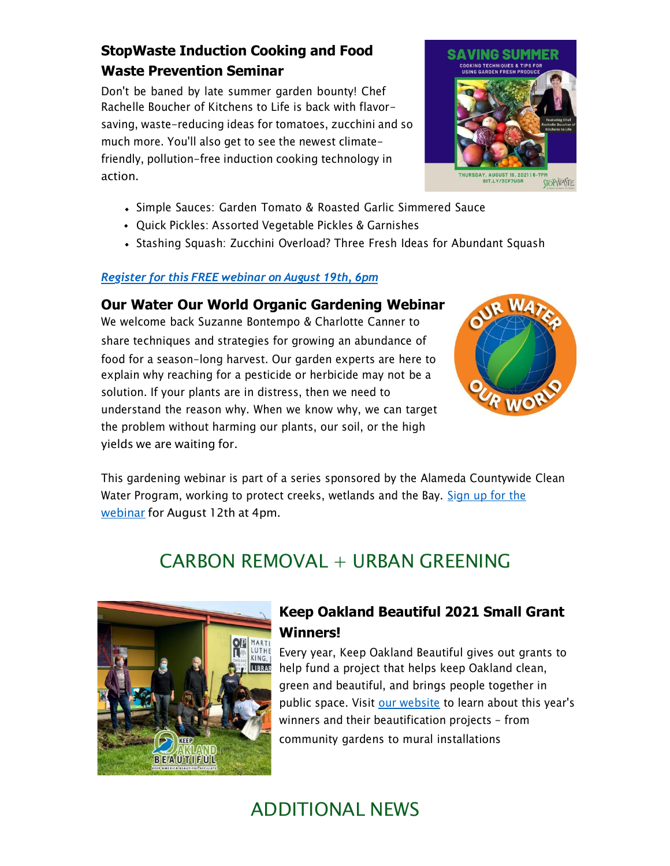### **StopWaste Induction Cooking and Food Waste Prevention Seminar**

Don't be baned by late summer garden bounty! Chef Rachelle Boucher of Kitchens to Life is back with flavorsaving, waste-reducing ideas for tomatoes, zucchini and so much more. You'll also get to see the newest climatefriendly, pollution-free induction cooking technology in action.

- Simple Sauces: Garden Tomato & Roasted Garlic Simmered Sauce
- Quick Pickles: Assorted Vegetable Pickles & Garnishes
- Stashing Squash: Zucchini Overload? Three Fresh Ideas for Abundant Squash

#### *[Register](https://oaklandca19202.lt.acemlna.com/Prod/link-tracker?notrack=1&redirectUrl=aHR0cCUzQSUyRiUyRmJpdC5seSUyRjNxbUtKdVE%3D&sig=9k38otqXvmHdvT9WnZjSnxovdSizPZdJvZZ6xaDrsnw2&iat=1632344216&a=799335011&account=oaklandca19202%2Eactivehosted%2Ecom&email=LRRV6glqIfcVPcYsJBrMHi%2FZD%2BmsUFpJrc5fHf6IoVE%3D&s=bad97c655476f96a390a72c05a742011&i=941A931A11A15409) for this FREE webinar on August 19th, 6pm*

**Our Water Our World Organic Gardening Webinar** We welcome back Suzanne Bontempo & Charlotte Canner to share techniques and strategies for growing an abundance of food for a season-long harvest. Our garden experts are here to explain why reaching for a pesticide or herbicide may not be a solution. If your plants are in distress, then we need to understand the reason why. When we know why, we can target the problem without harming our plants, our soil, or the high yields we are waiting for.



This gardening webinar is part of a series sponsored by the Alameda Countywide Clean [Water Program, working to protect creeks, wetlands and the Bay. Sign up for the](https://oaklandca19202.lt.acemlna.com/Prod/link-tracker?notrack=1&redirectUrl=aHR0cHMlM0ElMkYlMkZ1czAyd2ViLnpvb20udXMlMkZ3ZWJpbmFyJTJGcmVnaXN0ZXIlMkZXTl9tVzBGWUFfQlNiT2RqdzNnVjRUYmR3&sig=6jzQMDSgGbR86U2C3uzjcBcLxte9C2wHSc8qySXJP4Dn&iat=1632344216&a=799335011&account=oaklandca19202%2Eactivehosted%2Ecom&email=LRRV6glqIfcVPcYsJBrMHi%2FZD%2BmsUFpJrc5fHf6IoVE%3D&s=bad97c655476f96a390a72c05a742011&i=941A931A11A15410) [webinar](https://oaklandca19202.lt.acemlna.com/Prod/link-tracker?notrack=1&redirectUrl=aHR0cHMlM0ElMkYlMkZ1czAyd2ViLnpvb20udXMlMkZ3ZWJpbmFyJTJGcmVnaXN0ZXIlMkZXTl9tVzBGWUFfQlNiT2RqdzNnVjRUYmR3&sig=6jzQMDSgGbR86U2C3uzjcBcLxte9C2wHSc8qySXJP4Dn&iat=1632344216&a=799335011&account=oaklandca19202%2Eactivehosted%2Ecom&email=LRRV6glqIfcVPcYsJBrMHi%2FZD%2BmsUFpJrc5fHf6IoVE%3D&s=bad97c655476f96a390a72c05a742011&i=941A931A11A15410) for August 12th at 4pm.

## $CARRON$  REMOVAL + URBAN GREENING



### **Keep Oakland Beautiful 2021 Small Grant Winners!**

Every year, Keep Oakland Beautiful gives out grants to help fund a project that helps keep Oakland clean, green and beautiful, and brings people together in public space. Visit [our website](https://oaklandca19202.lt.acemlna.com/Prod/link-tracker?notrack=1&redirectUrl=aHR0cHMlM0ElMkYlMkZ3d3cua2VlcG9ha2xhbmRiZWF1dGlmdWwub3JnJTJGb3VyLWltcGFjdCUyRjIwMjEta29iLXNtYWxsLWdyYW50LWF3YXJkZWVz&sig=AyZiBhCXcxVkBnx2VKHt9evoThr3hWHXo247tNGYBPxM&iat=1632344216&a=799335011&account=oaklandca19202%2Eactivehosted%2Ecom&email=LRRV6glqIfcVPcYsJBrMHi%2FZD%2BmsUFpJrc5fHf6IoVE%3D&s=bad97c655476f96a390a72c05a742011&i=941A931A11A15411) to learn about this year's winners and their beautification projects - from community gardens to mural installations

## ADDITIONAL NEWS